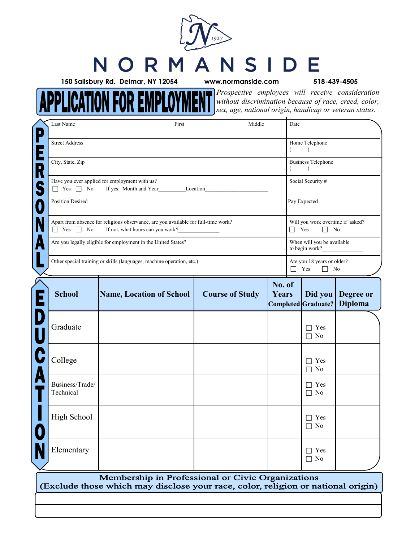## NSIDE NORM

**MEN** 

**150 Salisbury Rd. Delmar, NY 12054 www.normanside.com 518-439-4505**

**APPLICATION FOR EMPLOYI** 

*Prospective employees will receive consideration without discrimination because of race, creed, color, sex, age, national origin, handicap or veteran status.*

| Last Name                                                                                                                                      | First                           | Middle                 |                 | Date                                                     |                                                                            |                             |  |
|------------------------------------------------------------------------------------------------------------------------------------------------|---------------------------------|------------------------|-----------------|----------------------------------------------------------|----------------------------------------------------------------------------|-----------------------------|--|
| <b>Street Address</b>                                                                                                                          |                                 |                        |                 | €                                                        | Home Telephone<br>$\lambda$                                                |                             |  |
| City, State, Zip                                                                                                                               |                                 |                        |                 |                                                          | <b>Business Telephone</b><br>$\lambda$                                     |                             |  |
| Have you ever applied for employment with us?<br>$\Box$ Yes $\Box$ No<br>If yes: Month and Year Location                                       |                                 |                        |                 |                                                          | Social Security #                                                          |                             |  |
| <b>Position Desired</b>                                                                                                                        |                                 |                        |                 |                                                          | Pay Expected                                                               |                             |  |
| Apart from absence for religious observance, are you available for full-time work?<br>$\Box$ Yes $\Box$ No<br>If not, what hours can you work? |                                 |                        |                 |                                                          | Will you work overtime if asked?<br>$\Box$ Yes<br>N <sub>0</sub><br>$\Box$ |                             |  |
| Are you legally eligible for employment in the United States?                                                                                  |                                 |                        |                 |                                                          | When will you be available<br>to begin work?                               |                             |  |
| Other special training or skills (languages, machine operation, etc.)                                                                          |                                 |                        |                 | Are you 18 years or older?<br>$\Box$ Yes<br>$\Box$<br>No |                                                                            |                             |  |
| <b>School</b>                                                                                                                                  | <b>Name, Location of School</b> | <b>Course of Study</b> | No. of<br>Years |                                                          | Did you<br>Completed Graduate?                                             | Degree or<br><b>Diploma</b> |  |
| Graduate                                                                                                                                       |                                 |                        |                 |                                                          | Yes                                                                        |                             |  |
|                                                                                                                                                |                                 |                        |                 |                                                          | $\Box$ No                                                                  |                             |  |
| College                                                                                                                                        |                                 |                        |                 |                                                          | Yes<br>⊣<br>$\Box$ No                                                      |                             |  |
| Business/Trade/<br>Technical                                                                                                                   |                                 |                        |                 |                                                          | Yes<br>$\Box$<br>$\Box$ No                                                 |                             |  |
| <b>High School</b>                                                                                                                             |                                 |                        |                 |                                                          | $\sqcap$ Yes<br>$\Box$ No                                                  |                             |  |

(Exclude those which may disclose your race, color, religion or national origin)